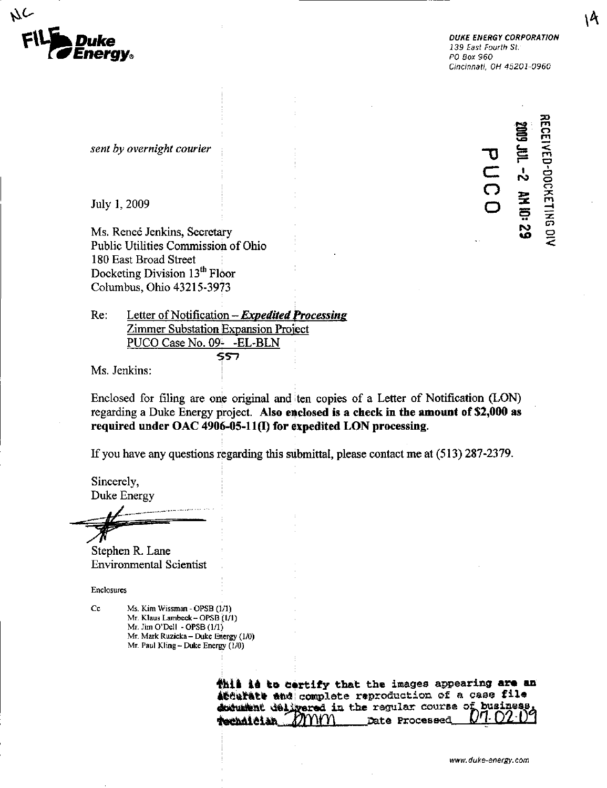

Cincinnati, OH 45201-0960

RECEIVED-DOCKETING DIV

 $\sim$   $\circ$  $\Omega$   $\approx$   $\frac{8}{3}$ 

S o

sent by overnight courier

July 1, 2009 and the set of the set of  $\Box$  and  $\Box$  and  $\Box$  and  $\Box$  and  $\Box$  and  $\Box$  and  $\Box$ 

Ms. Renee Jenkins, Secretary Public Utilities Commission of Ohio ^ 180 East Broad Street Docketing Division 13<sup>th</sup> Floor Columbus, Ohio 43215-3973

 $Re:$  Letter of Notification – *Expedited Processing* Zimmer Substation Expansion Project PUCO Case No. 09- - EL-BLN 557

Ms. Jenkins:

Enclosed for filing are one original and ten copies of a Letter of Notification (LON) regarding a Duke Energy project. Also enclosed is a check in the amount of  $$2,000$  as required under OAC 4906-05-11(1) for expedited LON processing.

If you have any questions regarding this submittal, please contact me at (513) 287-2379.

Sincerely, Duke Energy

Stephen R. Lane Environmental Scientist

Enclosures

Cc Ms. Kim Wissman - OPSB (1/1) Mr. Klaus Lambeck- OPSB (l/l) Mr. Jim O'Dell - OPSB (1/1) Mr. Mark Ruzicka - Duke Energy (1/0) Mr. Paul Kling - Duke Energy (1/0)

> thil is to certify that the images appearing are an Atturate and complete reproduction of a case file document delivered in the ragular course of business **Technician**  $Z$  *MNM* Date Processed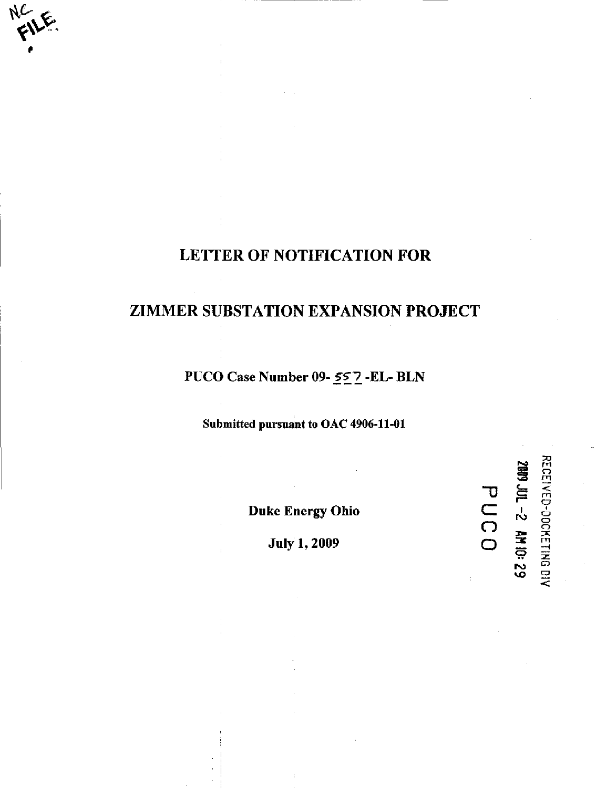# LETTER OF NOTIFICATION FOR

## ZIMMER SUBSTATION EXPANSION PROJECT

PUCO Case Number 09- 557 -EL- BLN

Submitted pursuant to OAC 4906-11-01

Duke Energy Ohio

-D

IS? S g v j a

**RECEI**  $\ddot{}$ m

o<br>DOC<br>N

 $\Xi$  $\Xi$  $\ddot{\phantom{1}}$ 

1 ro <u>ਤੇ</u><br>...

ro <o

C  $\overline{\Omega}$ o

July 1,2009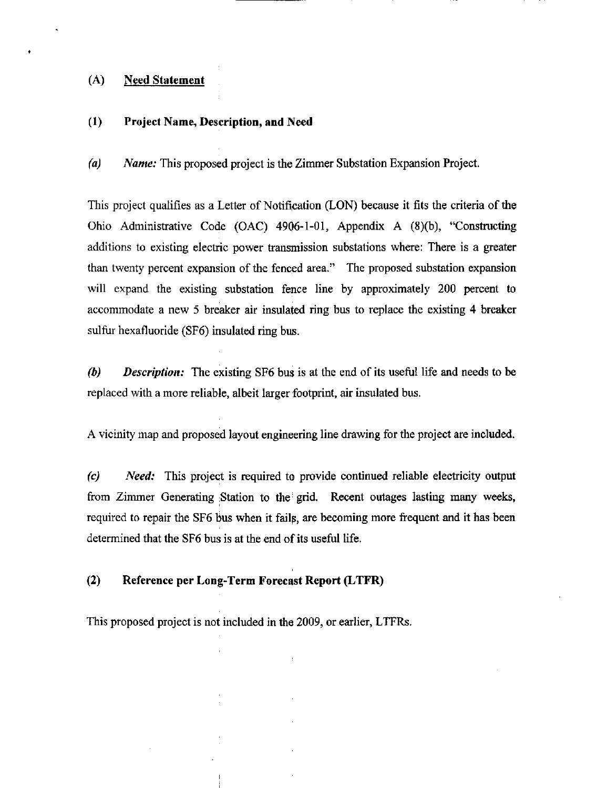## (A) Need Statement

## (1) Project Name, Description, and Need

(a) Name: This proposed project is the Zimmer Substation Expansion Project.

This project qualifies as a Letter of Notification (LON) because it fits the criteria of the Ohio Administrative Code (OAC) 4906-1-01, Appendix A (8)(b), "Consttncting additions to existing electric power transmission substations where: There is a greater than twenty percent expansion of the fenced area." The proposed substation expansion will expand the existing substation fence line by approximately 200 percent to accommodate a new 5 breaker air insulated ring bus to replace the existing 4 breaker sulfur hexafluoride (SF6) insulated ring bus.

(b) Description: The existing SF6 bus is at the end of its useful life and needs to be replaced with a more reliable, albeit larger footprint, air insulated bus.

A vicinity map and proposed layout engineering line drawing for the project are included.

(c) Need: This project is required to provide continued reliable electricity output from Zimmer Generating Station to the grid. Recent outages lasting many weeks, required to repair the SF6 bus when it fails, are becoming more frequent and it has been determined that the SF6 bus is at the end of its useful life.

## (2) Reference per Long-Term Forecast Report (LTFR)

This proposed project is not included in the 2009, or earlier, LTFRs.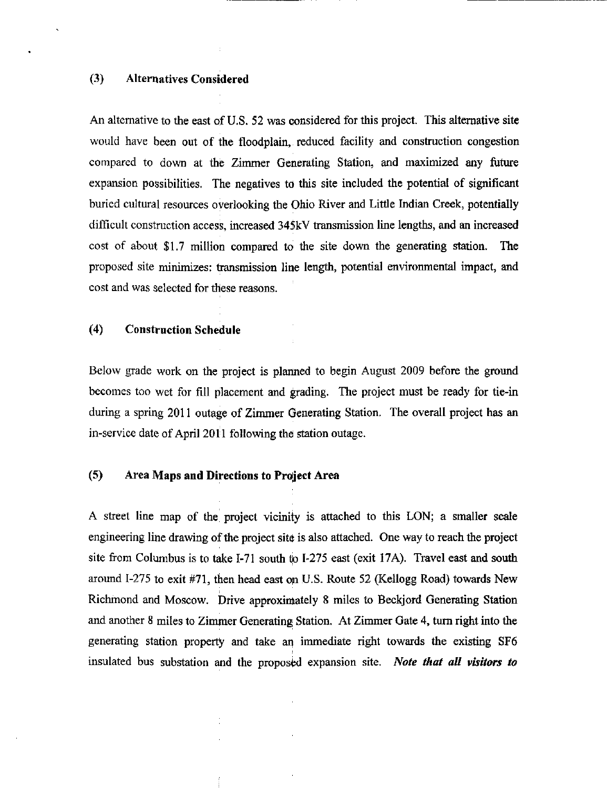## (3) Alternatives Considered

An alternative to the east of U.S. 52 was considered for this project. This alternative site would have been out of the floodpiain, reduced facility and construction congestion compared to down at the Zimmer Generating Station, and maximized any future expansion possibilities. The negatives to this site included the potential of significant buried cultural resources overlooking the Ohio River and Little Indian Creek, potentially difficult construction access, increased 345kV ttansmission line lengths, and an increased cost of about \$1.7 million compared to the site down the generating station. The proposed site minimizes: transmission line length, potential environmental impact, and cost and was selected for these reasons.

## (4) Construction Schedule

Below grade work on the project is planned to begin August 2009 before the ground becomes too wet for fill placement and grading. The project must be ready for tie-in during a spring 2011 outage of Zimmer Generating Station. The overall project has an in-service date of April 2011 following the station outage.

#### (5) Area Maps and Directions to Project Area

A street line map of the project vicinity is attached to this LON; a smaller scale engineering line drawing of the project site is also attached. One way to reach the project site from Columbus is to take 1-71 south to 1-275 east (exit 17A). Travel east and south around 1-275 to exit #71, then head east on U.S. Route 52 (Kellogg Road) towards New Richmond and Moscow. Drive approximately 8 miles to Beckjord Generating Station and another 8 miles to Zimmer Generating Station. At Zimmer Gate 4, turn right into the generating station property and take an immediate right towards the existing SF6 insulated bus substation and the proposed expansion site. Note that all visitors to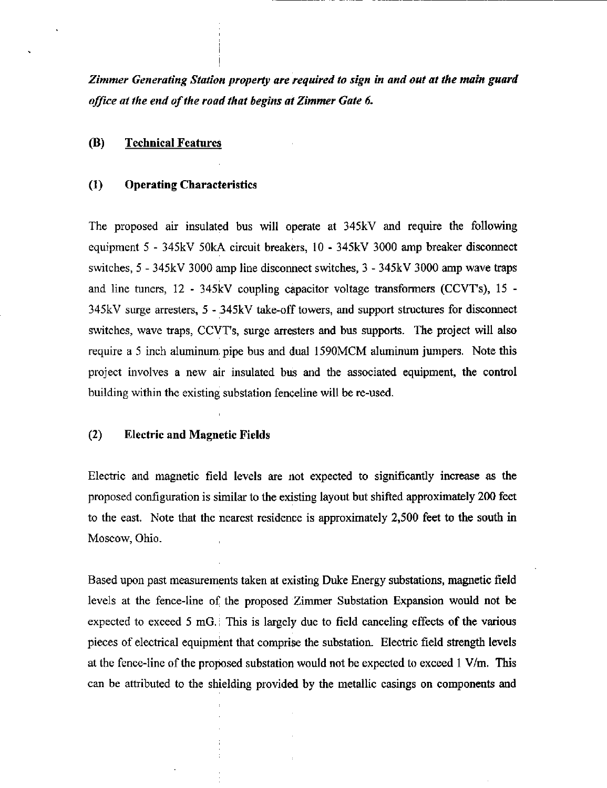Zimmer Generating Station property are required to sign in and out at the main guard office at the end of the road that begins at Zimmer Gate 6.

## (B) Technical Features

#### (1) Operating Characteristics

The proposed air insulated bus will operate at 345kV and require the following equipment 5 - 345kV 50kA circuit breakers, 10 - 345kV 3000 amp breaker disconnect switches, 5 - 345kV 3000 amp line disconnect switches, 3 - 345kV 3000 amp wave traps and line tuners, 12 - 345kV coupling capacitor voltage transformers (CCVTs), 15 - 345kV surge arresters, 5 - 345kV take-off towers, and support structures for disconnect switches, wave traps, CCVT's, surge arresters and bus supports. The project will also require a 5 inch aluminum pipe bus and dual 1590 MCM aluminum jumpers. Note this project involves a new air insulated bus and the associated equipment, the control building within the existing substation fenceline will be re-used.

#### (2) Electric and Magnetic Fields

Electric and magnetic field levels are not expected to significantly increase as the proposed configuration is similar to the existing layout but shifted approximately 200 feet to the east. Note that the nearest residence is approximately 2,500 feet to the south in Moscow, Ohio.

Based upon past measurements taken at existing Duke Energy substations, magnetic field levels at the fence-line of the proposed Zimmer Substation Expansion would not be expected to exceed 5 mG.; This is largely due to field canceling effects of the various pieces of electrical equipment that comprise the substation. Electric field strength levels at the fence-line of the proposed substation would not be expected to exceed 1 V/m. This can be attributed to the shielding provided by the metallic casings on components and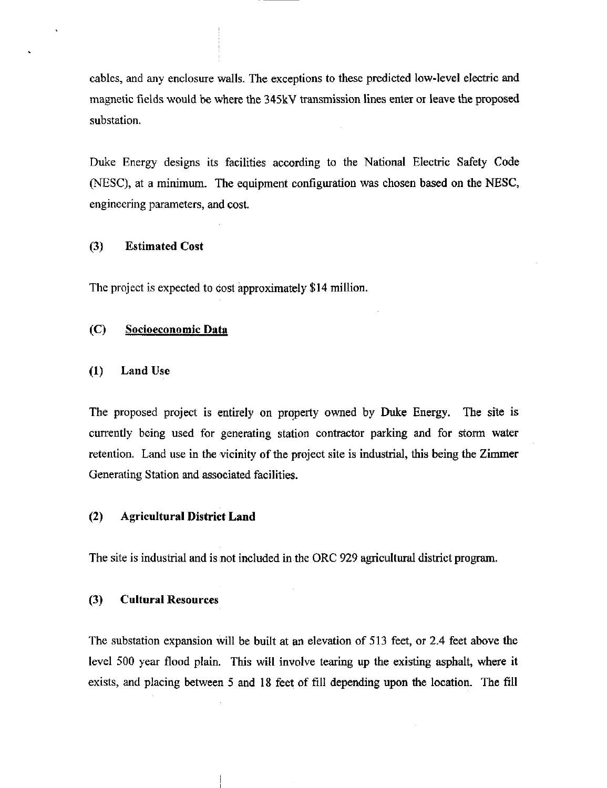cables, and any enclosure walls. The exceptions to these predicted low-level electric and magnetic fields would be where the 345kV transmission lines enter or leave the proposed substation.

Duke Energy designs its facilities according to the National Electric Safety Code (NESC), at a minimum. The equipment configuration was chosen based on the NESC, engineering parameters, and cost.

## (3) Estimated Cost

The project is expected to cost approximately \$14 million.

## (C) Socioeconomic Data

#### (1) Land Use

The proposed project is entirely on property owned by Duke Energy. The site is currently being used for generating station contractor parking and for storm water retention. Land use in the vicinity of the project site is industrial, this being the Zimmer Generating Station and associated facilities.

## (2) Agricultural District Land

The site is industrial and is not included in the ORC 929 agricultural district program.

#### (3) Cultural Resources

The substation expansion will be built at an elevation of 513 feet, or 2.4 feet above the level 500 year flood plain. This will involve tearing up the existing asphalt, where it exists, and placing between 5 and 18 feet of fill depending upon the location. The fill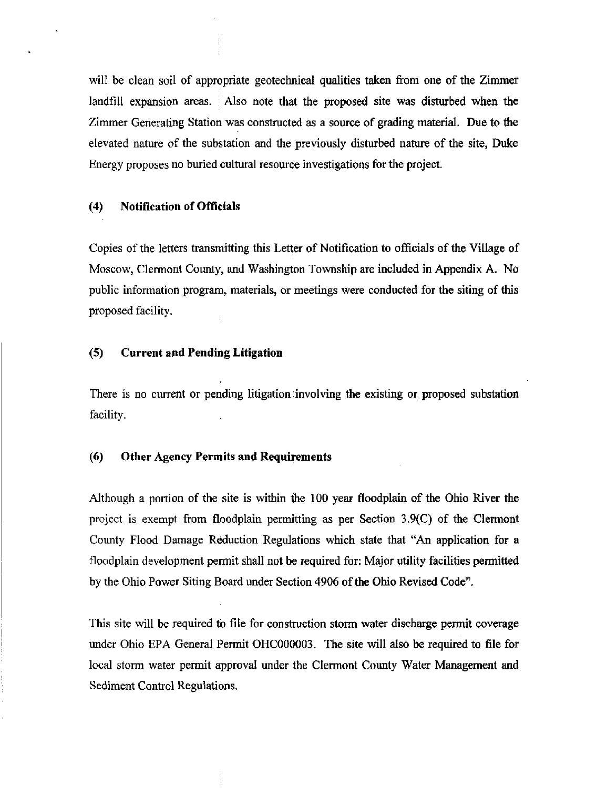will be clean soil of appropriate geotechnical qualities taken from one of the Zimmer landfill expansion areas. Also note that the proposed site was disturbed when the Zimmer Generating Station was constructed as a source of grading material. Due to the elevated nature of the substation and the previously disturbed nature of the site, Duke Energy proposes no buried cultural resource investigations for the project.

#### (4) Notification of Officials

Copies of the letters transmitting this Letter of Notification to officials of the Village of Moscow, Clermont County, and Washington Tovmship are included in Appendix A. No public information program, materials, or meetings were conducted for the siting of this proposed facility.

## (5) Current and Pending Litigation

There is no current or pending litigation involving the existing or proposed substation facility.

## (6) Other Agency Permits and Requirements

Although a portion of the site is within the 100 year floodpiain of the Ohio River the project is exempt from floodpiain permitting as per Section 3.9(C) of the Clermont County Flood Damage Reduction Regulations which state that "An application for a floodpiain development permit shall not be required for: Major utility facilities permitted by the Ohio Power Siting Board under Section 4906 of the Ohio Revised Code".

This site will be required to file for construction storm water discharge permit coverage under Ohio EPA General Permit OHC000003. The site will also be required to file for local storm water permit approval under the Clermont County Water Management and Sediment Control Regulations.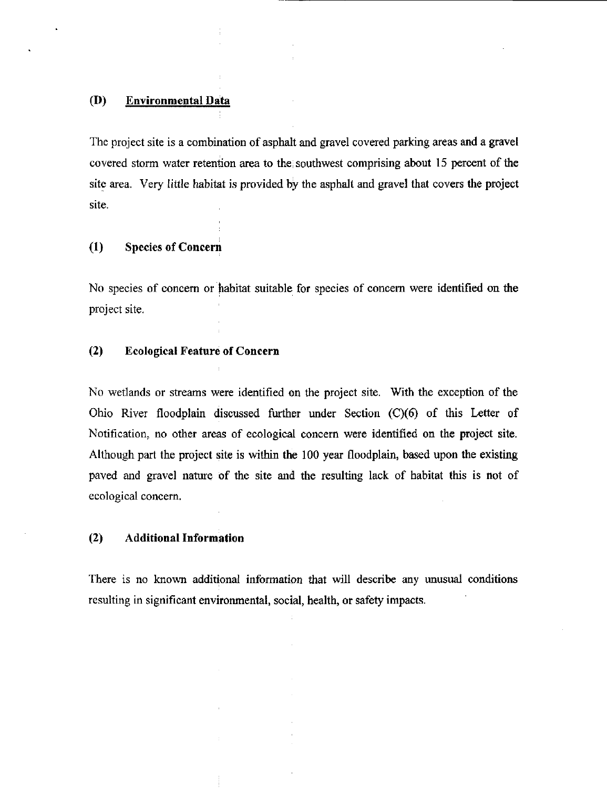## (D) Environmental Data

The project site is a combination of asphalt and gravel covered parking areas and a gravel covered storm water retention area to the southwest comprising about  $15$  percent of the site area. Very little habitat is provided by the asphalt and gravel that covers the project site.

## (1) Species of Concern

No species of concern or habitat suitable for species of concern were identified on the project site.

## (2) Ecological Feature of Concern

No wetiands or streams were identified On the project site. With the exception of the Ohio River floodplain discussed further under Section (C)(6) of this Letter of Notification, no other areas of ecological concern were identified on the project site. Although part the project site is within the 100 year floodpiain, based upon the existing paved and gravel nature of the site and the resulting lack of habitat this is not of ecological concem.

## (2) Additional Information

There is no known additional information that will describe any unusual conditions resulting in significant environmental, social, health, or safety impacts.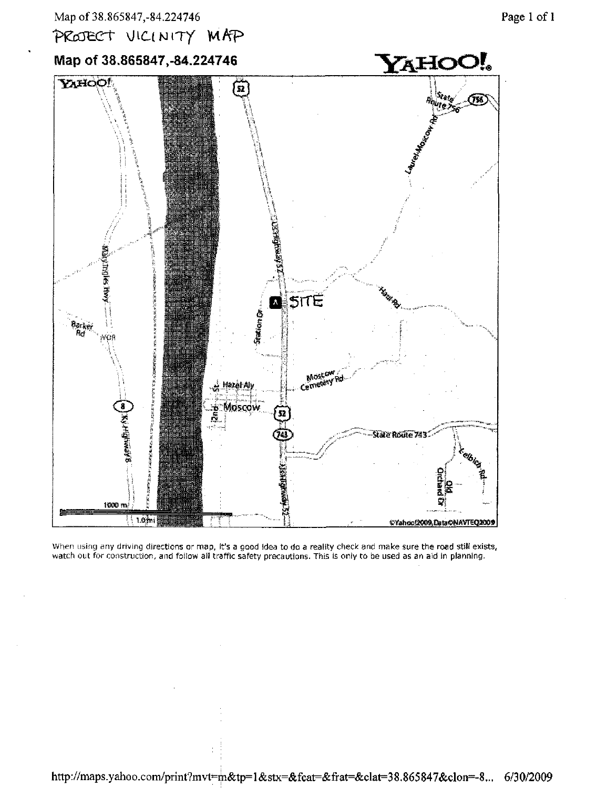



Map of 38.865847,-84,224746



When using any driving directions or map, it's a good idea to do a reality check and make sure the road still exists, watch out for construction, and follow all traffic safety precautions. This is only to be used as an aid in planning.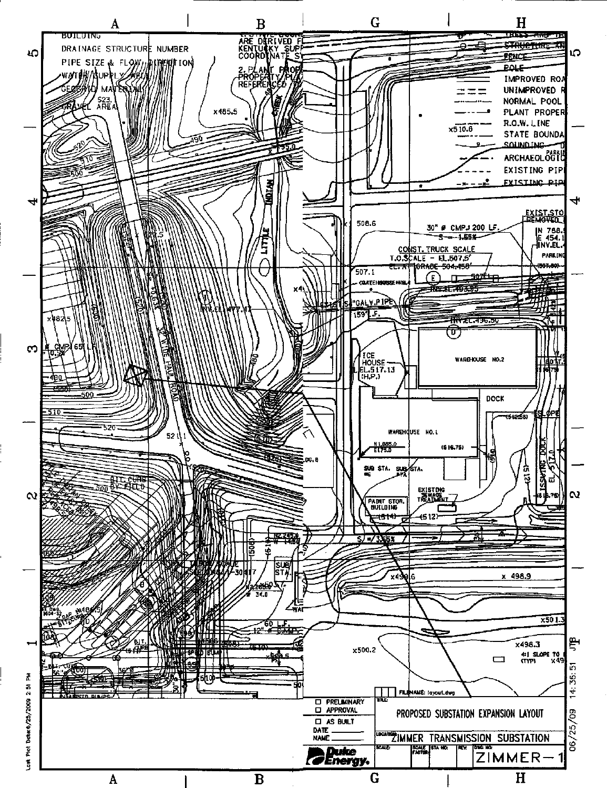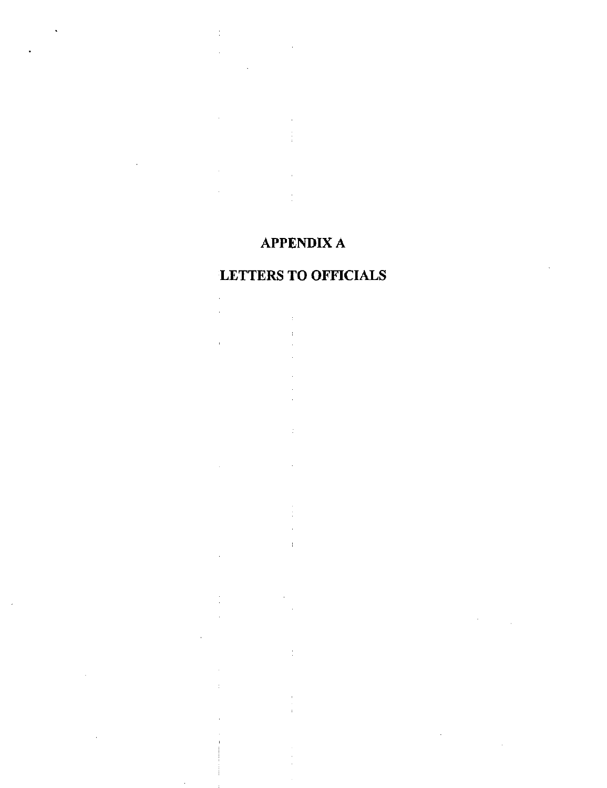## APPENDIX A

 $\frac{1}{2}$ 

 $\hat{\boldsymbol{\theta}}$  $\ddot{\phantom{a}}$ 

## LETTERS TO OFFICIALS

 $\cdot$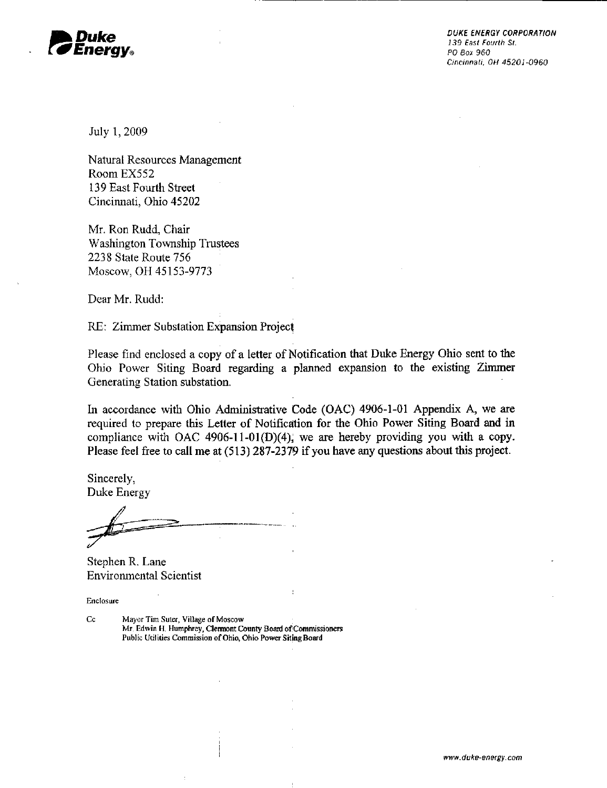

Cincinnati. OH 45201-0960

July 1, 2009

Natural Resources Management RoomEX552 139 East Fourth Street Cincinnati, Ohio 45202

Mr. Ron Rudd, Chair Washington Township Trustees 2238 State Route 756 Moscow, OH 45153-9773

Dear Mr. Rudd:

RE: Zimmer Substation Expansion Project

Please find enclosed a copy of a letter of Notification that Duke Energy Ohio sent to the Ohio Power Siting Board regarding a planned expansion to the existing Zimmer Generating Station substation.

In accordance with Ohio Administrative Code (OAC) 4906-1-01 Appendix A, we are required to prepare this Letter of Notification for die Ohio Power Siting Board and in compliance with OAC 4906-11-01(D)(4), we are hereby providing you with a copy. Please feel free to call me at (513) 287-2379 if you have any questions about this project.

Sincerely, Duke Energy

Stephen R. Lane Environmental Scientist

Enclosure

Cc Mayor Tim Suter, Village of Moscow Mr. Edwin H. Humphrey, Clermont County Board of Commissioners Public Utilities Commissionof Ohio, Ohio Power Siting Board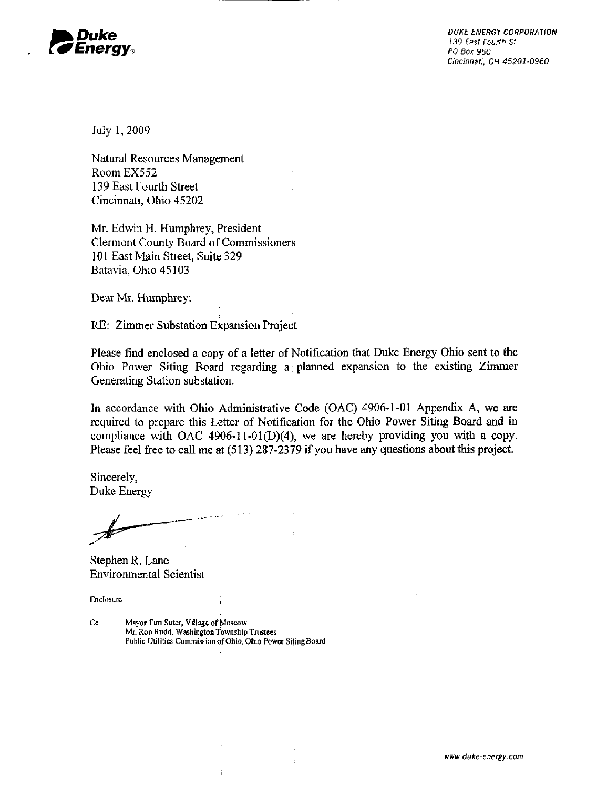

DUKE ENERGY CORPORATION<br>139 East Fourth St. Cincinnati. OH 45201-0960

July 1,2009

Natural Resources Management Room EX552 139 East Fourth Street Cincinnati, Ohio 45202

Mr. Edwin H. Humphrey, President Clermont County Board of Commissioners 101 East Main Street, Suite 329 Batavia, Ohio 45103

Dear Mr. Humphrey:

RE: Zimmer Substation Expansion Project

Please find enclosed a copy of a letter of Notification that Duke Energy Ohio sent to the Ohio Power Siting Board regarding  $a_1$  planned expansion to the existing Zimmer Generating Station substation.

In accordance with Ohio Administrative Code (OAC) 4906-1-01 Appendix A, we are required to prepare this Letter of Notification for the Ohio Power Siting Board and in compliance with OAC 4906-11-01(D)(4), we are hereby providing you with a copy. Please feel free to call me at (513) 287-2379 if you have any questions about this project.

Sincerely, Duke Energy

Stephen R. Lane Environmental Scientist

Enclosure

Cc Mayor Tim Suter, Village of Moscow Mr. Ron Rudd, Washington Township Trustees Public Utilities Commission of Ohio, Ohio Power Siting Board